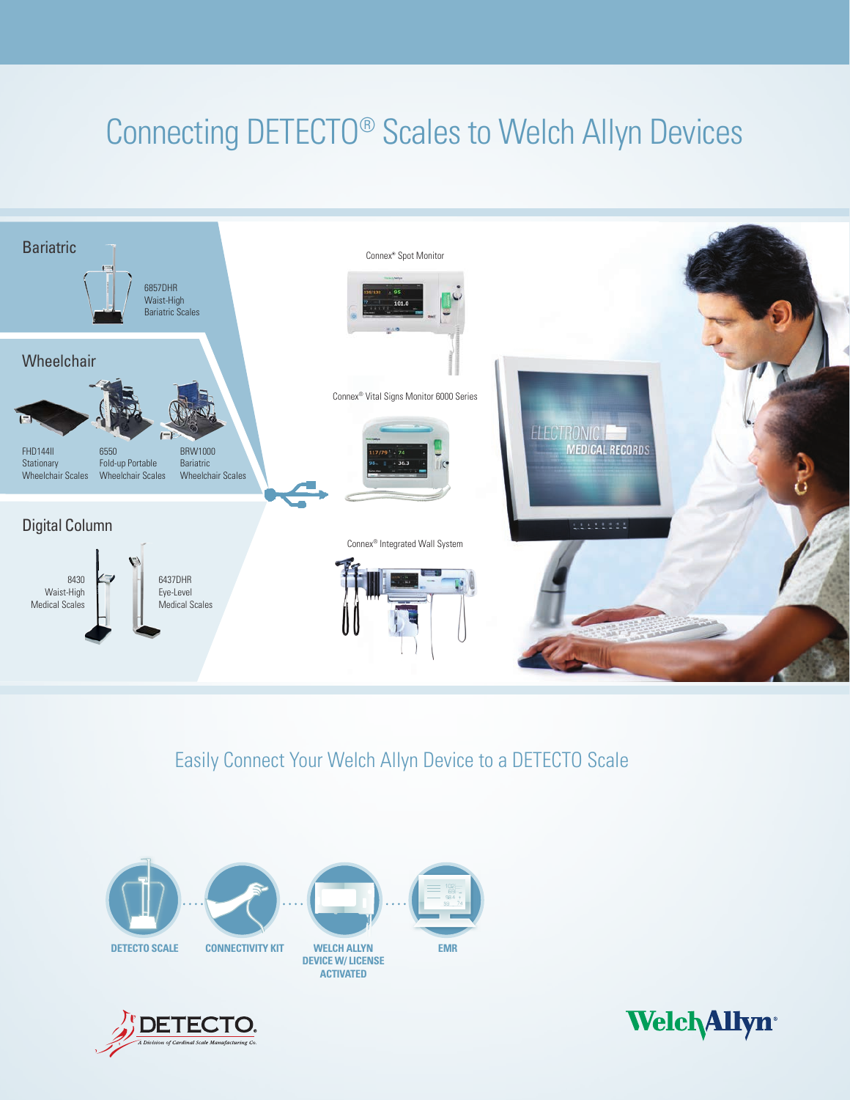# Connecting DETECTO® Scales to Welch Allyn Devices



Easily Connect Your Welch Allyn Device to a DETECTO Scale





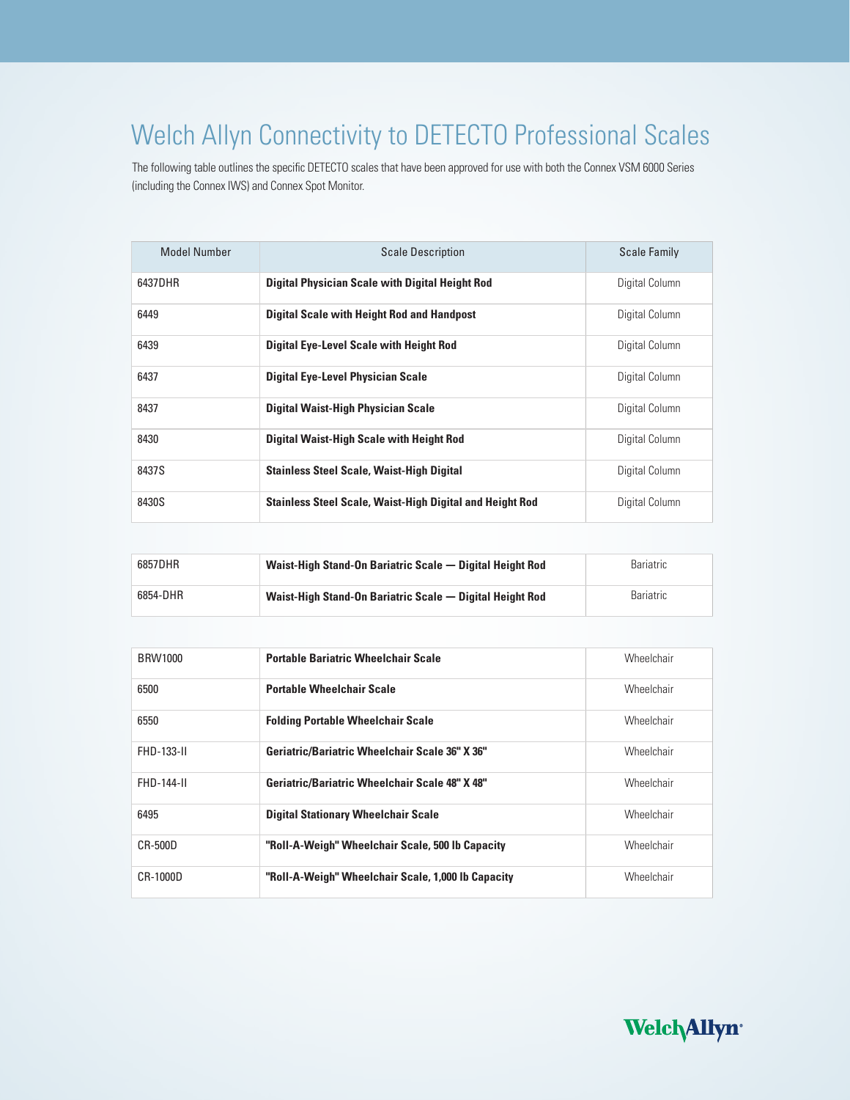## Welch Allyn Connectivity to DETECTO Professional Scales

The following table outlines the specific DETECTO scales that have been approved for use with both the Connex VSM 6000 Series (including the Connex IWS) and Connex Spot Monitor.

| <b>Model Number</b> | <b>Scale Description</b>                                        | <b>Scale Family</b> |
|---------------------|-----------------------------------------------------------------|---------------------|
| 6437DHR             | <b>Digital Physician Scale with Digital Height Rod</b>          | Digital Column      |
| 6449                | <b>Digital Scale with Height Rod and Handpost</b>               | Digital Column      |
| 6439                | <b>Digital Eye-Level Scale with Height Rod</b>                  | Digital Column      |
| 6437                | <b>Digital Eye-Level Physician Scale</b>                        | Digital Column      |
| 8437                | <b>Digital Waist-High Physician Scale</b>                       | Digital Column      |
| 8430                | <b>Digital Waist-High Scale with Height Rod</b>                 | Digital Column      |
| 8437S               | <b>Stainless Steel Scale, Waist-High Digital</b>                | Digital Column      |
| 8430S               | <b>Stainless Steel Scale, Waist-High Digital and Height Rod</b> | Digital Column      |

| 6857DHR  | Waist-High Stand-On Bariatric Scale – Digital Height Rod | Bariatric |
|----------|----------------------------------------------------------|-----------|
| 6854-DHR | Waist-High Stand-On Bariatric Scale — Digital Height Rod | Bariatric |

| <b>BRW1000</b>    | <b>Portable Bariatric Wheelchair Scale</b>         | Wheelchair |
|-------------------|----------------------------------------------------|------------|
| 6500              | <b>Portable Wheelchair Scale</b>                   | Wheelchair |
| 6550              | <b>Folding Portable Wheelchair Scale</b>           | Wheelchair |
| FHD-133-II        | Geriatric/Bariatric Wheelchair Scale 36" X 36"     | Wheelchair |
| <b>FHD-144-II</b> | Geriatric/Bariatric Wheelchair Scale 48" X 48"     | Wheelchair |
| 6495              | <b>Digital Stationary Wheelchair Scale</b>         | Wheelchair |
| CR-500D           | "Roll-A-Weigh" Wheelchair Scale, 500 lb Capacity   | Wheelchair |
| CR-1000D          | "Roll-A-Weigh" Wheelchair Scale, 1,000 lb Capacity | Wheelchair |